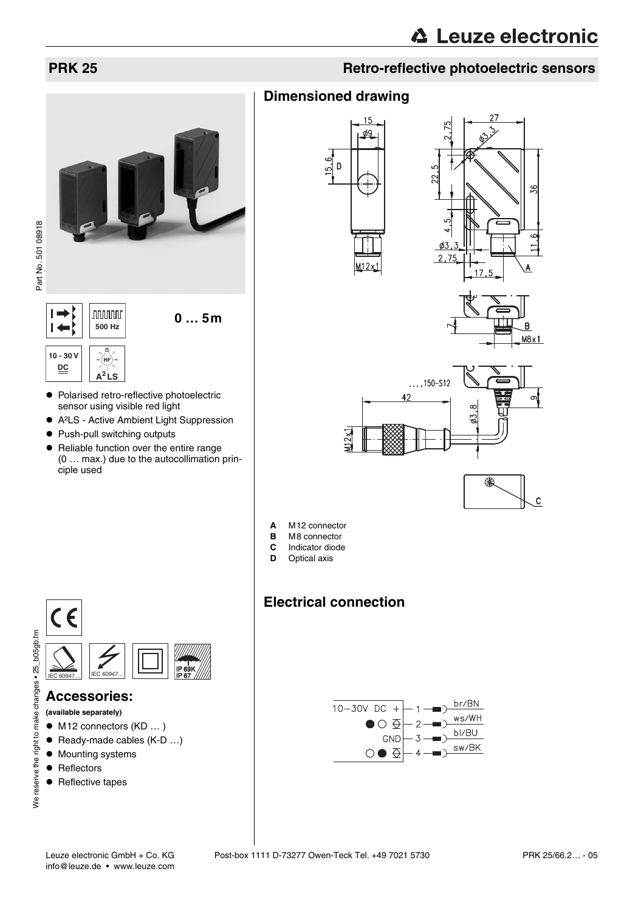

**preliminary data sheet** Part No. 501 08918Part No. 501 08918

> **10 - 30 V** (н **DC A<sup>2</sup> LS**

- $\bullet$  Polarised retro-reflective photoelectric sensor using visible red light
- A<sup>2</sup>LS Active Ambient Light Suppression
- Push-pull switching outputs
- Reliable function over the entire range (0 … max.) due to the autocollimation principle used

# **PRK 25 Retro-reflective photoelectric sensors**

# **Dimensioned drawing**











- **A** M12 connector
- **B** M8 connector<br>**C** Indicator diode
- **C** Indicator diode
- **D** Optical axis

# **Electrical connection**





## **Accessories:**

- **(available separately)**
- $\bullet$  M12 connectors (KD  $\dots$ )
- $\bullet$  Ready-made cables (K-D ...)
- Mounting systems
- $\bullet$  Reflectors
- Reflective tapes